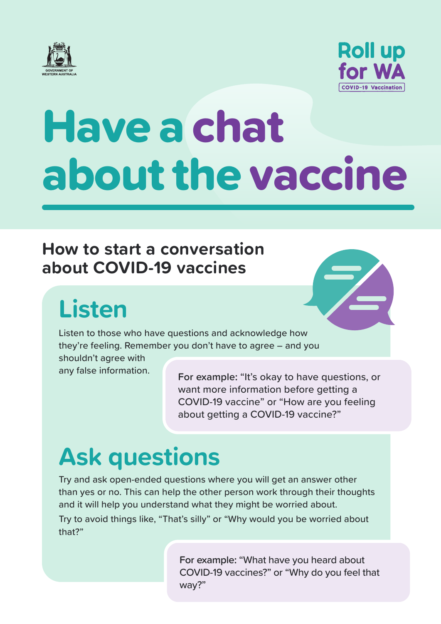



# Have a chat about the vaccine

#### **How to start a conversation about COVID-19 vaccines**

# **Listen**

Listen to those who have questions and acknowledge how they're feeling. Remember you don't have to agree – and you shouldn't agree with

any false information.

**For example:** "It's okay to have questions, or want more information before getting a COVID-19 vaccine" or "How are you feeling about getting a COVID-19 vaccine?"

# **Ask questions**

Try and ask open-ended questions where you will get an answer other than yes or no. This can help the other person work through their thoughts and it will help you understand what they might be worried about.

Try to avoid things like, "That's silly" or "Why would you be worried about that?"

> **For example:** "What have you heard about COVID-19 vaccines?" or "Why do you feel that way?"